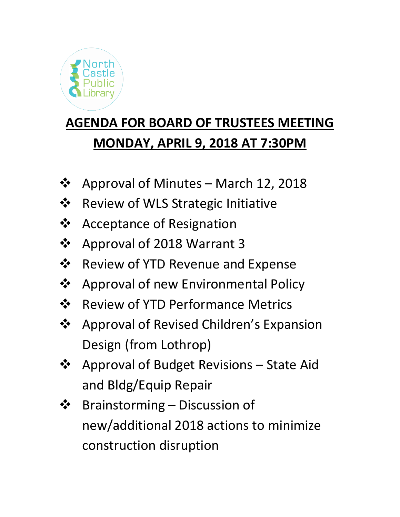

# **AGENDA FOR BOARD OF TRUSTEES MEETING MONDAY, APRIL 9, 2018 AT 7:30PM**

- ❖ Approval of Minutes March 12, 2018
- ❖ Review of WLS Strategic Initiative
- ❖ Acceptance of Resignation
- ❖ Approval of 2018 Warrant 3
- ❖ Review of YTD Revenue and Expense
- ❖ Approval of new Environmental Policy
- ❖ Review of YTD Performance Metrics
- ❖ Approval of Revised Children's Expansion Design (from Lothrop)
- ❖ Approval of Budget Revisions State Aid and Bldg/Equip Repair
- ❖ Brainstorming Discussion of new/additional 2018 actions to minimize construction disruption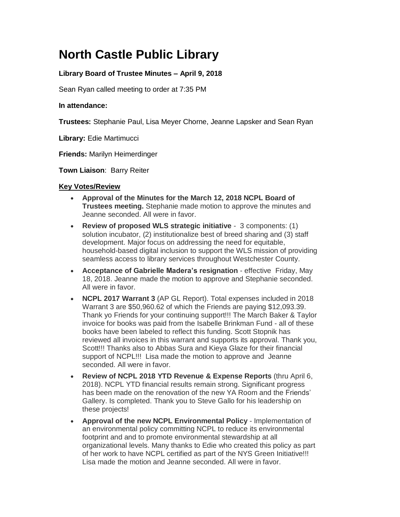## **North Castle Public Library**

#### **Library Board of Trustee Minutes – April 9, 2018**

Sean Ryan called meeting to order at 7:35 PM

#### **In attendance:**

**Trustees:** Stephanie Paul, Lisa Meyer Chorne, Jeanne Lapsker and Sean Ryan

**Library:** Edie Martimucci

**Friends:** Marilyn Heimerdinger

**Town Liaison**: Barry Reiter

#### **Key Votes/Review**

- **Approval of the Minutes for the March 12, 2018 NCPL Board of Trustees meeting.** Stephanie made motion to approve the minutes and Jeanne seconded. All were in favor.
- **Review of proposed WLS strategic initiative** 3 components: (1) solution incubator, (2) institutionalize best of breed sharing and (3) staff development. Major focus on addressing the need for equitable, household-based digital inclusion to support the WLS mission of providing seamless access to library services throughout Westchester County.
- **Acceptance of Gabrielle Madera's resignation** effective Friday, May 18, 2018. Jeanne made the motion to approve and Stephanie seconded. All were in favor.
- **NCPL 2017 Warrant 3** (AP GL Report). Total expenses included in 2018 Warrant 3 are \$50,960.62 of which the Friends are paying \$12,093.39. Thank yo Friends for your continuing support!!! The March Baker & Taylor invoice for books was paid from the Isabelle Brinkman Fund - all of these books have been labeled to reflect this funding. Scott Stopnik has reviewed all invoices in this warrant and supports its approval. Thank you, Scott!!! Thanks also to Abbas Sura and Kieya Glaze for their financial support of NCPL!!! Lisa made the motion to approve and Jeanne seconded. All were in favor.
- **Review of NCPL 2018 YTD Revenue & Expense Reports** (thru April 6, 2018). NCPL YTD financial results remain strong. Significant progress has been made on the renovation of the new YA Room and the Friends' Gallery. Is completed. Thank you to Steve Gallo for his leadership on these projects!
- **Approval of the new NCPL Environmental Policy** Implementation of an environmental policy committing NCPL to reduce its environmental footprint and and to promote environmental stewardship at all organizational levels. Many thanks to Edie who created this policy as part of her work to have NCPL certified as part of the NYS Green Initiative!!! Lisa made the motion and Jeanne seconded. All were in favor.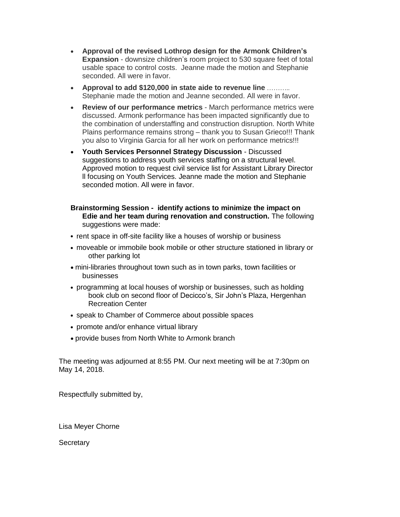- **Approval of the revised Lothrop design for the Armonk Children's Expansion** - downsize children's room project to 530 square feet of total usable space to control costs. Jeanne made the motion and Stephanie seconded. All were in favor.
- **Approval to add \$120,000 in state aide to revenue line**  Stephanie made the motion and Jeanne seconded. All were in favor.
- **Review of our performance metrics** March performance metrics were discussed. Armonk performance has been impacted significantly due to the combination of understaffing and construction disruption. North White Plains performance remains strong – thank you to Susan Grieco!!! Thank you also to Virginia Garcia for all her work on performance metrics!!!
- **Youth Services Personnel Strategy Discussion** Discussed suggestions to address youth services staffing on a structural level. Approved motion to request civil service list for Assistant Library Director ll focusing on Youth Services. Jeanne made the motion and Stephanie seconded motion. All were in favor.
- **Brainstorming Session identify actions to minimize the impact on Edie and her team during renovation and construction.** The following suggestions were made:
- **•** rent space in off-site facility like a houses of worship or business
- **•** moveable or immobile book mobile or other structure stationed in library or other parking lot
- mini-libraries throughout town such as in town parks, town facilities or businesses
- **•** programming at local houses of worship or businesses, such as holding book club on second floor of Decicco's, Sir John's Plaza, Hergenhan Recreation Center
- **•** speak to Chamber of Commerce about possible spaces
- **•** promote and/or enhance virtual library
- provide buses from North White to Armonk branch

The meeting was adjourned at 8:55 PM. Our next meeting will be at 7:30pm on May 14, 2018.

Respectfully submitted by,

Lisa Meyer Chorne

**Secretary**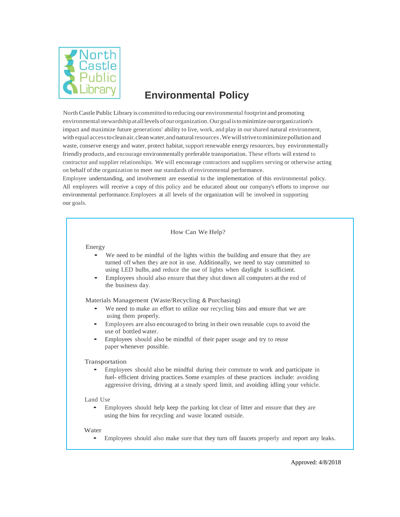

### **Environmental Policy**

North Castle Public Library is committed toreducing our environmental footprint and promoting environmentalstewardshipatalllevelsofourorganization.Ourgoalistominimize ourorganization's impact and maximize future generations' ability to live, work, and play in ourshared natural environment, with equal access to clean air, clean water, and natural resources. We will strive to minimize pollution and waste, conserve energy and water, protect habitat, support renewable energy resources, buy environmentally friendly products, and encourage environmentally preferable transportation. These efforts will extend to contractor and supplier relationships. We will encourage contractors and suppliers serving or otherwise acting on behalf of the organization to meet our standards of environmental performance.

Employee understanding, and involvement are essential to the implementation of this environmental policy. All employees will receive a copy of this policy and be educated about our company's efforts to improve our environmental performance. Employees at all levels of the organization will be involved in supporting our goals.

#### How Can We Help?

#### Energy

- We need to be mindful of the lights within the building and ensure that they are turned off when they are not in use. Additionally, we need to stay committed to using LED bulbs, and reduce the use of lights when daylight is sufficient.
- Employees should also ensure that they shut down all computers at the end of the business day.

Materials Management (Waste/Recycling & Purchasing)

- We need to make an effort to utilize our recycling bins and ensure that we are using them properly.
- Employees are also encouraged to bring in their own reusable cups to avoid the use of bottled water.
- Employees should also be mindful of their paper usage and try to reuse paper whenever possible.

#### Transportation

• Employees should also be mindful during their commute to work and participate in fuel- efficient driving practices. Some examples of these practices include: avoiding aggressive driving, driving at a steady speed limit, and avoiding idling your vehicle.

#### Land Use

• Employees should help keep the parking lot clear of litter and ensure that they are using the bins for recycling and waste located outside.

#### Water

• Employees should also make sure that they turn off faucets properly and report any leaks.